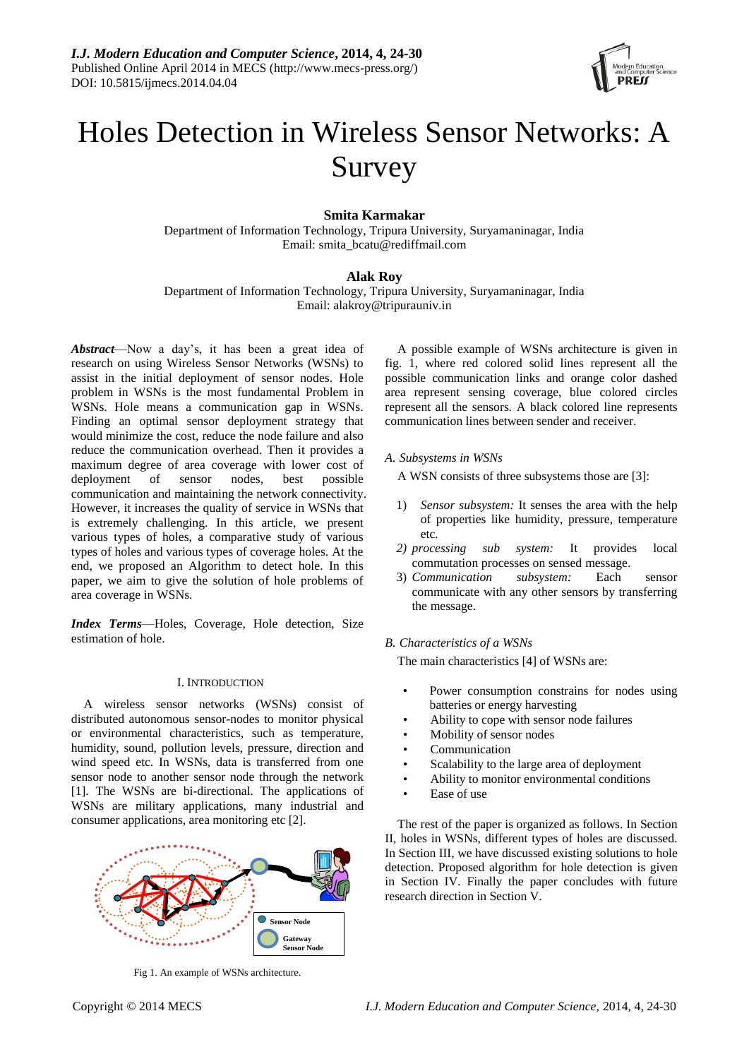

# Holes Detection in Wireless Sensor Networks: A Survey

# **Smita Karmakar**

Department of Information Technology, Tripura University, Suryamaninagar, India Email: smita\_bcatu@rediffmail.com

## **Alak Roy**

Department of Information Technology, Tripura University, Suryamaninagar, India Email: alakroy@tripurauniv.in

*Abstract*—Now a day's, it has been a great idea of research on using Wireless Sensor Networks (WSNs) to assist in the initial deployment of sensor nodes. Hole problem in WSNs is the most fundamental Problem in WSNs. Hole means a communication gap in WSNs. Finding an optimal sensor deployment strategy that would minimize the cost, reduce the node failure and also reduce the communication overhead. Then it provides a maximum degree of area coverage with lower cost of deployment of sensor nodes, best possible communication and maintaining the network connectivity. However, it increases the quality of service in WSNs that is extremely challenging. In this article, we present various types of holes, a comparative study of various types of holes and various types of coverage holes. At the end, we proposed an Algorithm to detect hole. In this paper, we aim to give the solution of hole problems of area coverage in WSNs.

*Index Terms*—Holes, Coverage, Hole detection, Size estimation of hole.

# I. INTRODUCTION

A wireless sensor networks (WSNs) consist of distributed autonomous sensor-nodes to monitor physical or environmental characteristics, such as temperature, humidity, sound, pollution levels, pressure, direction and wind speed etc. In WSNs, data is transferred from one sensor node to another sensor node through the network [1]. The WSNs are bi-directional. The applications of WSNs are military applications, many industrial and consumer applications, area monitoring etc [2].



Fig 1. An example of WSNs architecture.

A possible example of WSNs architecture is given in fig. 1, where red colored solid lines represent all the possible communication links and orange color dashed area represent sensing coverage, blue colored circles represent all the sensors. A black colored line represents communication lines between sender and receiver.

*A. Subsystems in WSNs*

A WSN consists of three subsystems those are [3]:

- 1) *Sensor subsystem:* It senses the area with the help of properties like humidity, pressure, temperature etc.
- *2) processing sub system:* It provides local commutation processes on sensed message.
- 3) *Communication subsystem:* Each sensor communicate with any other sensors by transferring the message.

## *B. Characteristics of a WSNs*

The main characteristics [4] of WSNs are:

- Power consumption constrains for nodes using batteries or energy harvesting
- Ability to cope with sensor node failures
- Mobility of sensor nodes
- **Communication**
- Scalability to the large area of deployment
- Ability to monitor environmental conditions
- Ease of use

The rest of the paper is organized as follows. In Section II, holes in WSNs, different types of holes are discussed. In Section III, we have discussed existing solutions to hole detection. Proposed algorithm for hole detection is given in Section IV. Finally the paper concludes with future research direction in Section V.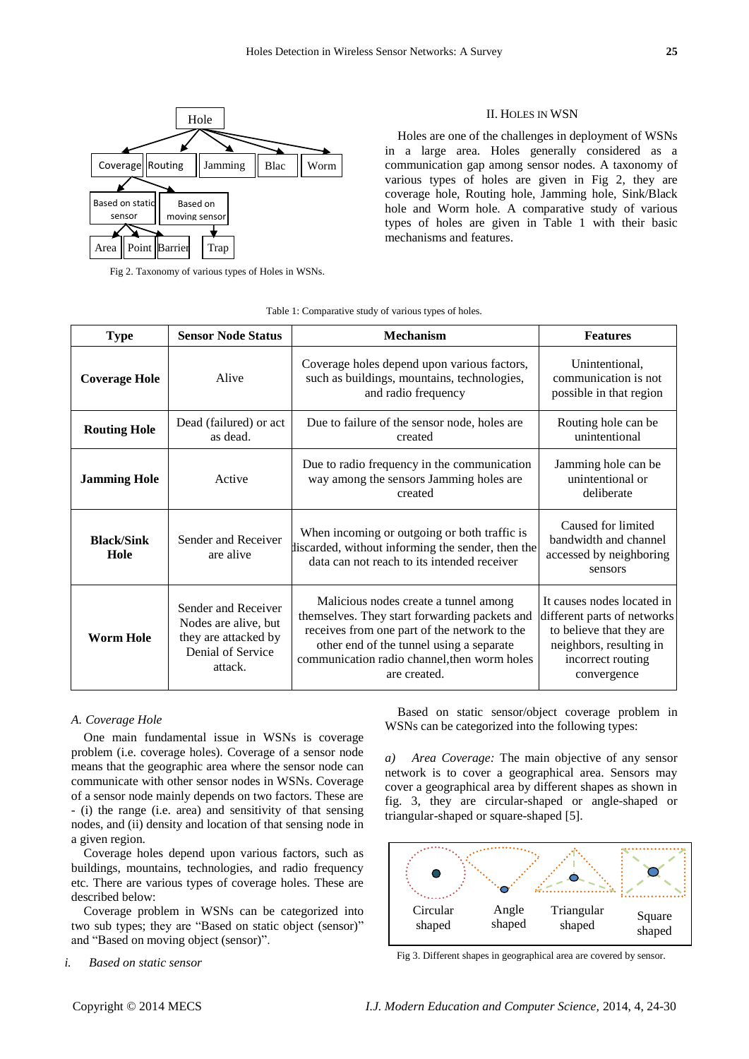

Fig 2. Taxonomy of various types of Holes in WSNs.

## II. HOLES IN WSN

Holes are one of the challenges in deployment of WSNs in a large area. Holes generally considered as a communication gap among sensor nodes. A taxonomy of various types of holes are given in Fig 2, they are coverage hole, Routing hole, Jamming hole, Sink/Black hole and Worm hole. A comparative study of various types of holes are given in Table 1 with their basic mechanisms and features.

| <b>Type</b>               | <b>Sensor Node Status</b>                                                                           | <b>Mechanism</b>                                                                                                                                                                                                                                   | <b>Features</b>                                                                                                                                      |  |
|---------------------------|-----------------------------------------------------------------------------------------------------|----------------------------------------------------------------------------------------------------------------------------------------------------------------------------------------------------------------------------------------------------|------------------------------------------------------------------------------------------------------------------------------------------------------|--|
| <b>Coverage Hole</b>      | Alive                                                                                               | Coverage holes depend upon various factors,<br>such as buildings, mountains, technologies,<br>and radio frequency                                                                                                                                  | Unintentional,<br>communication is not<br>possible in that region                                                                                    |  |
| <b>Routing Hole</b>       | Dead (failured) or act<br>as dead.                                                                  | Due to failure of the sensor node, holes are<br>created                                                                                                                                                                                            | Routing hole can be<br>unintentional                                                                                                                 |  |
| <b>Jamming Hole</b>       | Active                                                                                              | Due to radio frequency in the communication<br>way among the sensors Jamming holes are<br>created                                                                                                                                                  | Jamming hole can be<br>unintentional or<br>deliberate                                                                                                |  |
| <b>Black/Sink</b><br>Hole | Sender and Receiver<br>are alive                                                                    | When incoming or outgoing or both traffic is<br>discarded, without informing the sender, then the<br>data can not reach to its intended receiver                                                                                                   | Caused for limited<br>bandwidth and channel<br>accessed by neighboring<br>sensors                                                                    |  |
| <b>Worm Hole</b>          | Sender and Receiver<br>Nodes are alive, but<br>they are attacked by<br>Denial of Service<br>attack. | Malicious nodes create a tunnel among<br>themselves. They start forwarding packets and<br>receives from one part of the network to the<br>other end of the tunnel using a separate<br>communication radio channel, then worm holes<br>are created. | It causes nodes located in<br>different parts of networks<br>to believe that they are<br>neighbors, resulting in<br>incorrect routing<br>convergence |  |

Table 1: Comparative study of various types of holes.

## *A. Coverage Hole*

One main fundamental issue in WSNs is coverage problem (i.e. coverage holes). Coverage of a sensor node means that the geographic area where the sensor node can communicate with other sensor nodes in WSNs. Coverage of a sensor node mainly depends on two factors. These are - (i) the range (i.e. area) and sensitivity of that sensing nodes, and (ii) density and location of that sensing node in a given region.

Coverage holes depend upon various factors, such as buildings, mountains, technologies, and radio frequency etc. There are various types of coverage holes. These are described below:

Coverage problem in WSNs can be categorized into two sub types; they are "Based on static object (sensor)" and "Based on moving object (sensor)".

*i. Based on static sensor*

Based on static sensor/object coverage problem in WSNs can be categorized into the following types:

*a) Area Coverage:* The main objective of any sensor network is to cover a geographical area. Sensors may cover a geographical area by different shapes as shown in fig. 3, they are circular-shaped or angle-shaped or triangular-shaped or square-shaped [5].



Fig 3. Different shapes in geographical area are covered by sensor.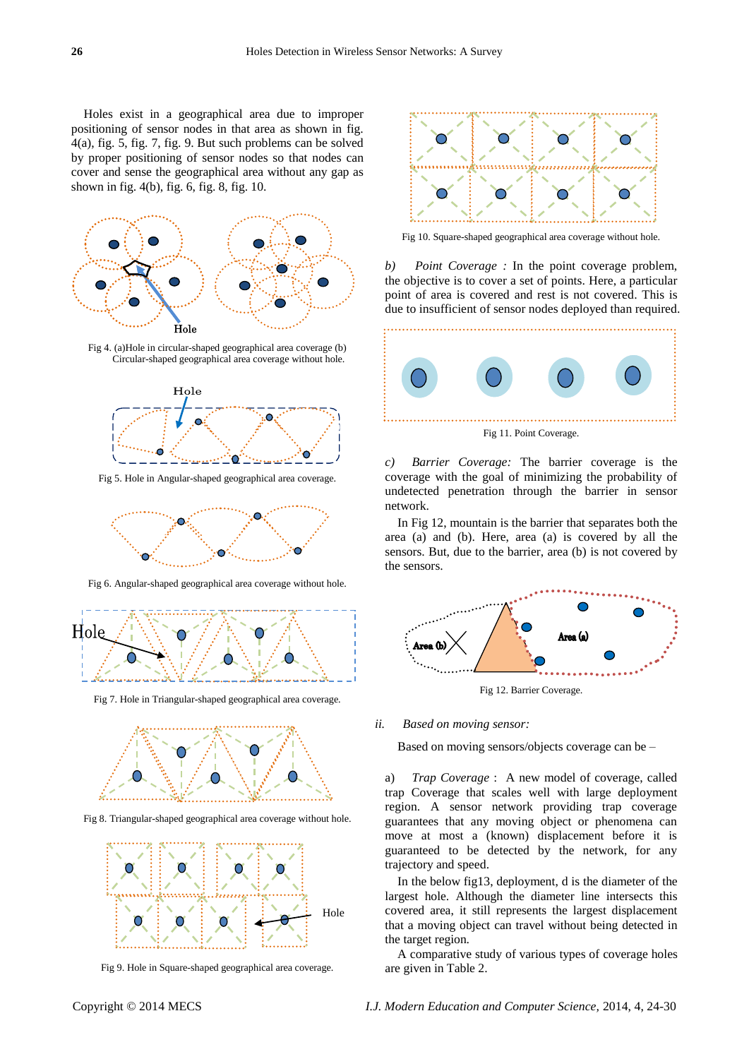Holes exist in a geographical area due to improper positioning of sensor nodes in that area as shown in fig. 4(a), fig. 5, fig. 7, fig. 9. But such problems can be solved by proper positioning of sensor nodes so that nodes can cover and sense the geographical area without any gap as shown in fig. 4(b), fig. 6, fig. 8, fig. 10.



Fig 4. (a)Hole in circular-shaped geographical area coverage (b) Circular-shaped geographical area coverage without hole.



Fig 5. Hole in Angular-shaped geographical area coverage.



Fig 6. Angular-shaped geographical area coverage without hole.



Fig 7. Hole in Triangular-shaped geographical area coverage.



Fig 8. Triangular-shaped geographical area coverage without hole.



Fig 9. Hole in Square-shaped geographical area coverage.



Fig 10. Square-shaped geographical area coverage without hole.

*b) Point Coverage :* In the point coverage problem, the objective is to cover a set of points. Here, a particular point of area is covered and rest is not covered. This is due to insufficient of sensor nodes deployed than required.



*c) Barrier Coverage:* The barrier coverage is the coverage with the goal of minimizing the probability of undetected penetration through the barrier in sensor network.

In Fig 12, mountain is the barrier that separates both the area (a) and (b). Here, area (a) is covered by all the sensors. But, due to the barrier, area (b) is not covered by the sensors.



Fig 12. Barrier Coverage.

*ii. Based on moving sensor:*

Based on moving sensors/objects coverage can be –

a) *Trap Coverage* : A new model of coverage, called trap Coverage that scales well with large deployment region. A sensor network providing trap coverage guarantees that any moving object or phenomena can move at most a (known) displacement before it is guaranteed to be detected by the network, for any trajectory and speed.

In the below fig13, deployment, d is the diameter of the largest hole. Although the diameter line intersects this covered area, it still represents the largest displacement that a moving object can travel without being detected in the target region.

A comparative study of various types of coverage holes are given in Table 2.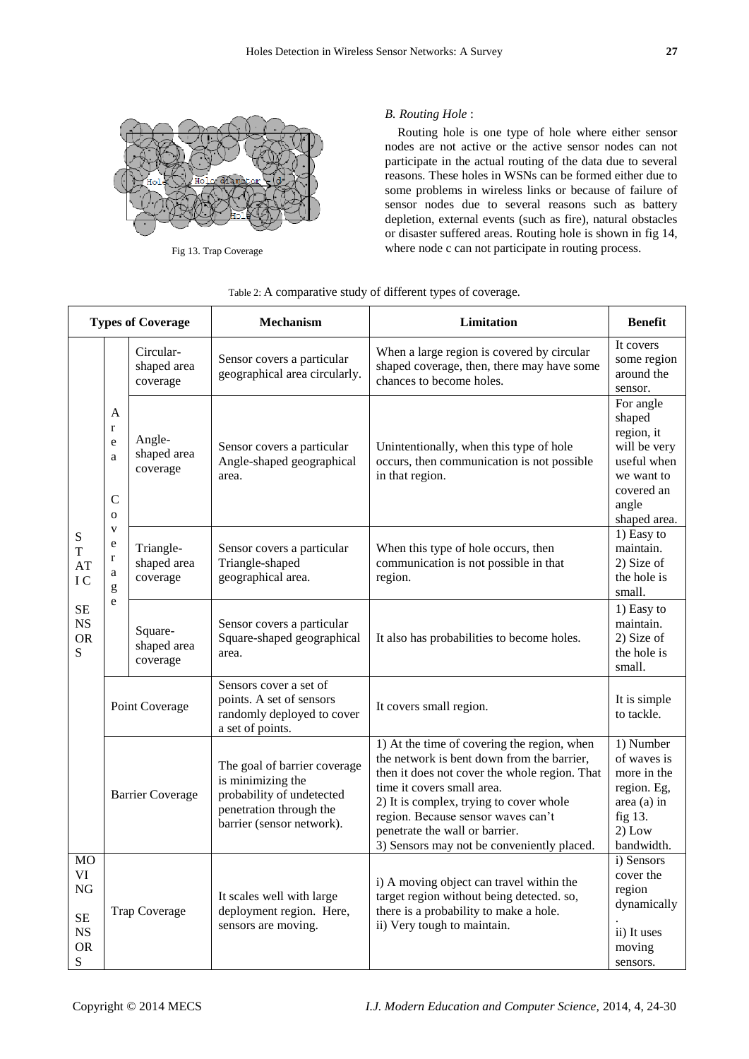

Fig 13. Trap Coverage

# *B. Routing Hole* :

Routing hole is one type of hole where either sensor nodes are not active or the active sensor nodes can not participate in the actual routing of the data due to several reasons. These holes in WSNs can be formed either due to some problems in wireless links or because of failure of sensor nodes due to several reasons such as battery depletion, external events (such as fire), natural obstacles or disaster suffered areas. Routing hole is shown in fig 14, where node c can not participate in routing process.

| <b>Types of Coverage</b>                                                         |                                                                                                                      |                                      | <b>Mechanism</b>                                                                                                                       | Limitation                                                                                                                                                                                                                                                                                                                                | <b>Benefit</b>                                                                                                        |
|----------------------------------------------------------------------------------|----------------------------------------------------------------------------------------------------------------------|--------------------------------------|----------------------------------------------------------------------------------------------------------------------------------------|-------------------------------------------------------------------------------------------------------------------------------------------------------------------------------------------------------------------------------------------------------------------------------------------------------------------------------------------|-----------------------------------------------------------------------------------------------------------------------|
| ${\bf S}$<br>$\mathbf T$<br>AT<br>IC<br><b>SE</b><br><b>NS</b><br><b>OR</b><br>S | A<br>$\mathbf{r}$<br>e<br>a<br>$\mathbf C$<br>$\mathbf{o}$<br>$\mathbf{V}$<br>e<br>$\mathbf r$<br>$\rm{a}$<br>g<br>e | Circular-<br>shaped area<br>coverage | Sensor covers a particular<br>geographical area circularly.                                                                            | When a large region is covered by circular<br>shaped coverage, then, there may have some<br>chances to become holes.                                                                                                                                                                                                                      | It covers<br>some region<br>around the<br>sensor.                                                                     |
|                                                                                  |                                                                                                                      | Angle-<br>shaped area<br>coverage    | Sensor covers a particular<br>Angle-shaped geographical<br>area.                                                                       | Unintentionally, when this type of hole<br>occurs, then communication is not possible<br>in that region.                                                                                                                                                                                                                                  | For angle<br>shaped<br>region, it<br>will be very<br>useful when<br>we want to<br>covered an<br>angle<br>shaped area. |
|                                                                                  |                                                                                                                      | Triangle-<br>shaped area<br>coverage | Sensor covers a particular<br>Triangle-shaped<br>geographical area.                                                                    | When this type of hole occurs, then<br>communication is not possible in that<br>region.                                                                                                                                                                                                                                                   | 1) Easy to<br>maintain.<br>2) Size of<br>the hole is<br>small.                                                        |
|                                                                                  |                                                                                                                      | Square-<br>shaped area<br>coverage   | Sensor covers a particular<br>Square-shaped geographical<br>area.                                                                      | It also has probabilities to become holes.                                                                                                                                                                                                                                                                                                | 1) Easy to<br>maintain.<br>2) Size of<br>the hole is<br>small.                                                        |
|                                                                                  | Point Coverage                                                                                                       |                                      | Sensors cover a set of<br>points. A set of sensors<br>randomly deployed to cover<br>a set of points.                                   | It covers small region.                                                                                                                                                                                                                                                                                                                   | It is simple<br>to tackle.                                                                                            |
|                                                                                  | <b>Barrier Coverage</b>                                                                                              |                                      | The goal of barrier coverage<br>is minimizing the<br>probability of undetected<br>penetration through the<br>barrier (sensor network). | 1) At the time of covering the region, when<br>the network is bent down from the barrier,<br>then it does not cover the whole region. That<br>time it covers small area.<br>2) It is complex, trying to cover whole<br>region. Because sensor waves can't<br>penetrate the wall or barrier.<br>3) Sensors may not be conveniently placed. | 1) Number<br>of waves is<br>more in the<br>region. Eg,<br>area (a) in<br>fig 13.<br>$2)$ Low<br>bandwidth.            |
| <b>MO</b><br>VI<br><b>NG</b><br>$\rm SE$<br><b>NS</b><br><b>OR</b><br>S          | <b>Trap Coverage</b>                                                                                                 |                                      | It scales well with large<br>deployment region. Here,<br>sensors are moving.                                                           | i) A moving object can travel within the<br>target region without being detected. so,<br>there is a probability to make a hole.<br>ii) Very tough to maintain.                                                                                                                                                                            | i) Sensors<br>cover the<br>region<br>dynamically<br>ii) It uses<br>moving<br>sensors.                                 |

# Table 2: A comparative study of different types of coverage.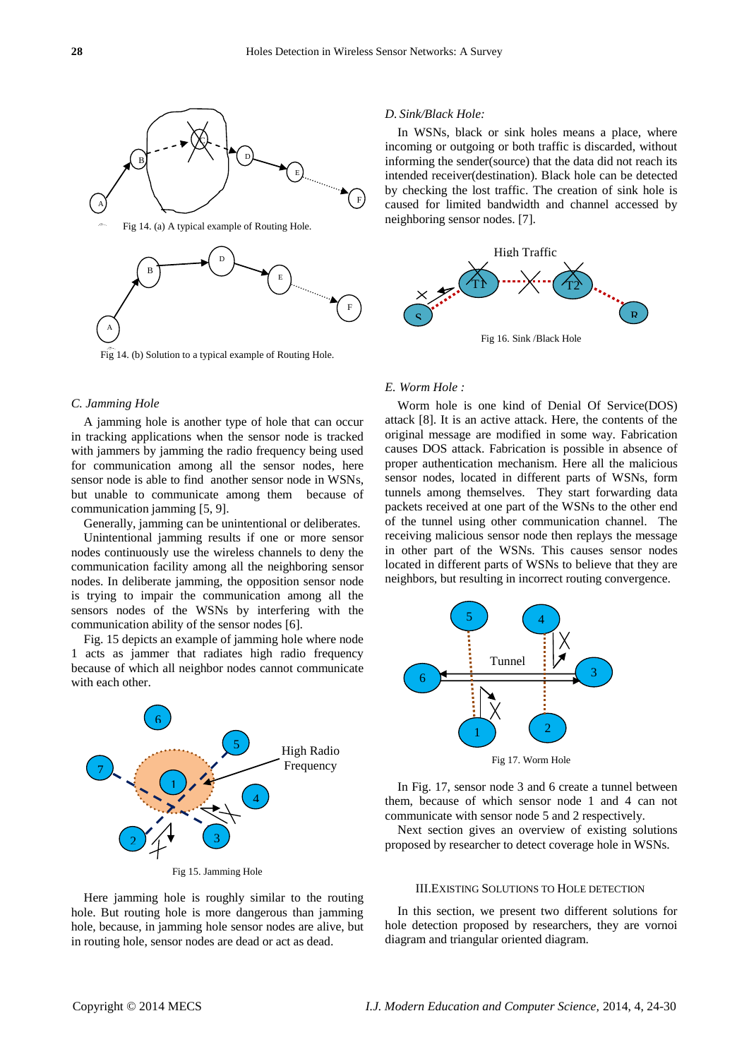

Fig 14. (b) Solution to a typical example of Routing Hole.

## *C. Jamming Hole*

A jamming hole is another type of hole that can occur in tracking applications when the sensor node is tracked with jammers by jamming the radio frequency being used for communication among all the sensor nodes, here sensor node is able to find another sensor node in WSNs, but unable to communicate among them because of communication jamming [5, 9].

Generally, jamming can be unintentional or deliberates.

Unintentional jamming results if one or more sensor nodes continuously use the wireless channels to deny the communication facility among all the neighboring sensor nodes. In deliberate jamming, the opposition sensor node is trying to impair the communication among all the sensors nodes of the WSNs by interfering with the communication ability of the sensor nodes [6].

Fig. 15 depicts an example of jamming hole where node 1 acts as jammer that radiates high radio frequency because of which all neighbor nodes cannot communicate with each other.



Fig 15. Jamming Hole 1

Here jamming hole is roughly similar to the routing hole. But routing hole is more dangerous than jamming hole, because, in jamming hole sensor nodes are alive, but in routing hole, sensor nodes are dead or act as dead.

#### *D. Sink/Black Hole:*

In WSNs, black or sink holes means a place, where incoming or outgoing or both traffic is discarded, without informing the sender(source) that the data did not reach its intended receiver(destination). Black hole can be detected by checking the lost traffic. The creation of sink hole is caused for limited bandwidth and channel accessed by neighboring sensor nodes. [7].



Fig 16. Sink /Black Hole

#### *E. Worm Hole :*

Worm hole is one kind of Denial Of Service(DOS) attack [8]. It is an active attack. Here, the contents of the original message are modified in some way. Fabrication causes DOS attack. Fabrication is possible in absence of proper authentication mechanism. Here all the malicious sensor nodes, located in different parts of WSNs, form tunnels among themselves. They start forwarding data packets received at one part of the WSNs to the other end of the tunnel using other communication channel. The receiving malicious sensor node then replays the message in other part of the WSNs. This causes sensor nodes located in different parts of WSNs to believe that they are neighbors, but resulting in incorrect routing convergence.



In Fig. 17, sensor node 3 and 6 create a tunnel between them, because of which sensor node 1 and 4 can not communicate with sensor node 5 and 2 respectively.

Next section gives an overview of existing solutions proposed by researcher to detect coverage hole in WSNs.

## III.EXISTING SOLUTIONS TO HOLE DETECTION

In this section, we present two different solutions for hole detection proposed by researchers, they are vornoi diagram and triangular oriented diagram.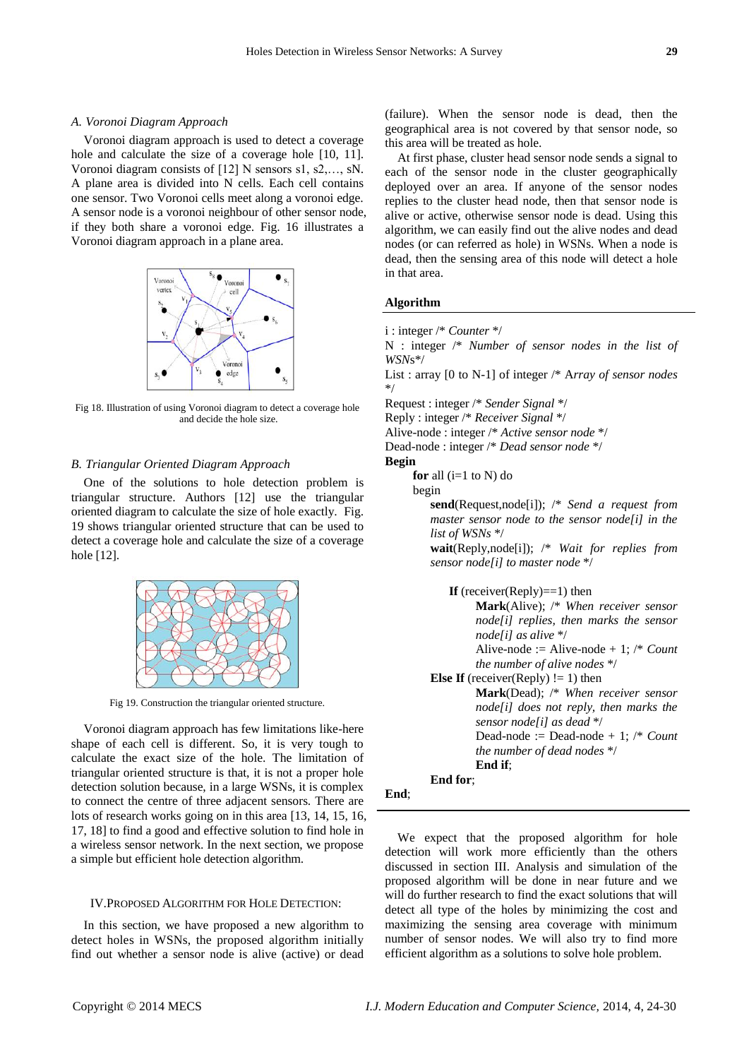#### *A. Voronoi Diagram Approach*

Voronoi diagram approach is used to detect a coverage hole and calculate the size of a coverage hole [10, 11]. Voronoi diagram consists of [12] N sensors s1, s2,…, sN. A plane area is divided into N cells. Each cell contains one sensor. Two Voronoi cells meet along a voronoi edge. A sensor node is a voronoi neighbour of other sensor node, if they both share a voronoi edge. Fig. 16 illustrates a Voronoi diagram approach in a plane area.



Fig 18. Illustration of using Voronoi diagram to detect a coverage hole and decide the hole size.

## *B. Triangular Oriented Diagram Approach*

One of the solutions to hole detection problem is triangular structure. Authors [12] use the triangular oriented diagram to calculate the size of hole exactly. Fig. 19 shows triangular oriented structure that can be used to detect a coverage hole and calculate the size of a coverage hole [12].



Fig 19. Construction the triangular oriented structure.

Voronoi diagram approach has few limitations like-here shape of each cell is different. So, it is very tough to calculate the exact size of the hole. The limitation of triangular oriented structure is that, it is not a proper hole detection solution because, in a large WSNs, it is complex to connect the centre of three adjacent sensors. There are lots of research works going on in this area [13, 14, 15, 16, 17, 18] to find a good and effective solution to find hole in a wireless sensor network. In the next section, we propose a simple but efficient hole detection algorithm.

#### IV.PROPOSED ALGORITHM FOR HOLE DETECTION:

In this section, we have proposed a new algorithm to detect holes in WSNs, the proposed algorithm initially find out whether a sensor node is alive (active) or dead (failure). When the sensor node is dead, then the geographical area is not covered by that sensor node, so this area will be treated as hole.

At first phase, cluster head sensor node sends a signal to each of the sensor node in the cluster geographically deployed over an area. If anyone of the sensor nodes replies to the cluster head node, then that sensor node is alive or active, otherwise sensor node is dead. Using this algorithm, we can easily find out the alive nodes and dead nodes (or can referred as hole) in WSNs. When a node is dead, then the sensing area of this node will detect a hole in that area.

## **Algorithm**

i : integer /\* *Counter* \*/

N : integer /\* *Number of sensor nodes in the list of WSN*s\*/

List : array [0 to N-1] of integer /\* A*rray of sensor nodes* \*/

Request : integer /\* *Sender Signal* \*/

Reply : integer /\* *Receiver Signal* \*/

Alive-node : integer /\* *Active sensor node* \*/

Dead-node : integer /\* *Dead sensor node* \*/

#### **Begin**

**End**;

**for** all  $(i=1$  to N) do

begin

**send**(Request,node[i]); /\* *Send a request from master sensor node to the sensor node[i] in the list of WSNs* \*/

**wait**(Reply,node[i]); /\* *Wait for replies from sensor node[i] to master node* \*/

**If** (receiver(Reply)==1) then **Mark**(Alive); /\* *When receiver sensor node[i] replies, then marks the sensor node[i] as alive* \*/ Alive-node := Alive-node + 1; /\* *Count the number of alive nodes* \*/ **Else If** (receiver(Reply)  $!= 1$ ) then **Mark**(Dead); /\* *When receiver sensor node[i] does not reply, then marks the sensor node[i] as dead* \*/ Dead-node := Dead-node + 1; /\* *Count the number of dead nodes* \*/ **End if**; **End for**;

We expect that the proposed algorithm for hole detection will work more efficiently than the others discussed in section III. Analysis and simulation of the proposed algorithm will be done in near future and we will do further research to find the exact solutions that will detect all type of the holes by minimizing the cost and maximizing the sensing area coverage with minimum number of sensor nodes. We will also try to find more efficient algorithm as a solutions to solve hole problem.